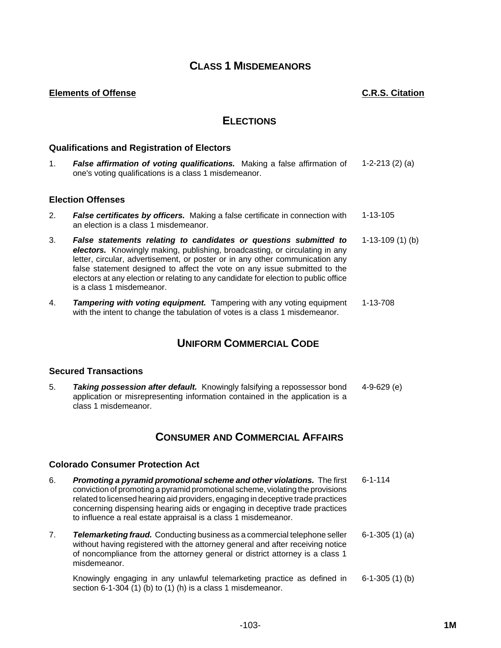## **CLASS 1 MISDEMEANORS**

## **Elements of Offense C.R.S. Citation**

## **ELECTIONS**

## **Qualifications and Registration of Electors**

1. *False affirmation of voting qualifications.* Making a false affirmation of one's voting qualifications is a class 1 misdemeanor. 1-2-213 (2) (a)

## **Election Offenses**

- 2. *False certificates by officers.* Making a false certificate in connection with an election is a class 1 misdemeanor. 1-13-105
- 3. *False statements relating to candidates or questions submitted to electors.* Knowingly making, publishing, broadcasting, or circulating in any letter, circular, advertisement, or poster or in any other communication any false statement designed to affect the vote on any issue submitted to the electors at any election or relating to any candidate for election to public office is a class 1 misdemeanor. 1-13-109 (1) (b)
- 4. *Tampering with voting equipment.* Tampering with any voting equipment with the intent to change the tabulation of votes is a class 1 misdemeanor. 1-13-708

# **UNIFORM COMMERCIAL CODE**

## **Secured Transactions**

5. *Taking possession after default.* Knowingly falsifying a repossessor bond application or misrepresenting information contained in the application is a class 1 misdemeanor. 4-9-629 (e)

## **CONSUMER AND COMMERCIAL AFFAIRS**

#### **Colorado Consumer Protection Act**

- 6. *Promoting a pyramid promotional scheme and other violations.* The first conviction of promoting a pyramid promotional scheme, violating the provisions related to licensed hearing aid providers, engaging in deceptive trade practices concerning dispensing hearing aids or engaging in deceptive trade practices to influence a real estate appraisal is a class 1 misdemeanor. 6-1-114
- 7. *Telemarketing fraud.* Conducting business as a commercial telephone seller without having registered with the attorney general and after receiving notice of noncompliance from the attorney general or district attorney is a class 1 misdemeanor. 6-1-305 (1) (a)

Knowingly engaging in any unlawful telemarketing practice as defined in section 6-1-304 (1) (b) to (1) (h) is a class 1 misdemeanor. 6-1-305 (1) (b)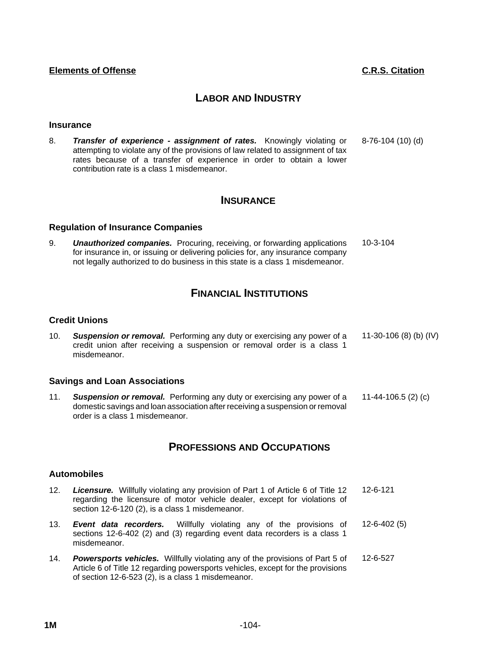## **LABOR AND INDUSTRY**

### **Insurance**

8. *Transfer of experience - assignment of rates.* Knowingly violating or attempting to violate any of the provisions of law related to assignment of tax rates because of a transfer of experience in order to obtain a lower contribution rate is a class 1 misdemeanor. 8-76-104 (10) (d)

## **INSURANCE**

## **Regulation of Insurance Companies**

9. *Unauthorized companies.* Procuring, receiving, or forwarding applications for insurance in, or issuing or delivering policies for, any insurance company not legally authorized to do business in this state is a class 1 misdemeanor. 10-3-104

# **FINANCIAL INSTITUTIONS**

## **Credit Unions**

10. *Suspension or removal.* Performing any duty or exercising any power of a credit union after receiving a suspension or removal order is a class 1 misdemeanor. 11-30-106 (8) (b) (IV)

## **Savings and Loan Associations**

11. *Suspension or removal.* Performing any duty or exercising any power of a domestic savings and loan association after receiving a suspension or removal order is a class 1 misdemeanor. 11-44-106.5 (2) (c)

## **PROFESSIONS AND OCCUPATIONS**

## **Automobiles**

- 12. *Licensure.* Willfully violating any provision of Part 1 of Article 6 of Title 12 regarding the licensure of motor vehicle dealer, except for violations of section 12-6-120 (2), is a class 1 misdemeanor. 12-6-121
- 13. *Event data recorders.* Willfully violating any of the provisions of sections 12-6-402 (2) and (3) regarding event data recorders is a class 1 misdemeanor. 12-6-402 (5)
- 14. *Powersports vehicles.* Willfully violating any of the provisions of Part 5 of Article 6 of Title 12 regarding powersports vehicles, except for the provisions of section 12-6-523 (2), is a class 1 misdemeanor. 12-6-527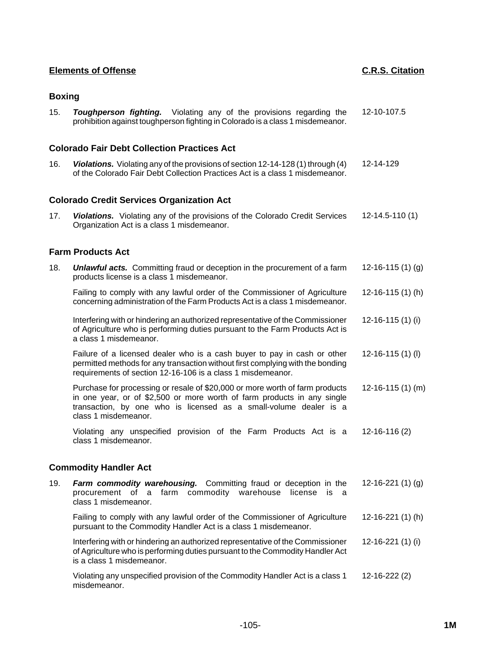## **Boxing**

| 15. | <b>Toughperson fighting.</b> Violating any of the provisions regarding the     |  | 12-10-107.5 |
|-----|--------------------------------------------------------------------------------|--|-------------|
|     | prohibition against toughperson fighting in Colorado is a class 1 misdemeanor. |  |             |

### **Colorado Fair Debt Collection Practices Act**

16. *Violations.* Violating any of the provisions of section 12-14-128 (1) through (4) of the Colorado Fair Debt Collection Practices Act is a class 1 misdemeanor. 12-14-129

#### **Colorado Credit Services Organization Act**

17. *Violations.* Violating any of the provisions of the Colorado Credit Services Organization Act is a class 1 misdemeanor. 12-14.5-110 (1)

## **Farm Products Act**

18. *Unlawful acts.* Committing fraud or deception in the procurement of a farm products license is a class 1 misdemeanor. 12-16-115 (1) (g) Failing to comply with any lawful order of the Commissioner of Agriculture concerning administration of the Farm Products Act is a class 1 misdemeanor. 12-16-115 (1) (h) Interfering with or hindering an authorized representative of the Commissioner of Agriculture who is performing duties pursuant to the Farm Products Act is a class 1 misdemeanor. 12-16-115 (1) (i) Failure of a licensed dealer who is a cash buyer to pay in cash or other 12-16-115 (1) (l)

permitted methods for any transaction without first complying with the bonding requirements of section 12-16-106 is a class 1 misdemeanor.

Purchase for processing or resale of \$20,000 or more worth of farm products in one year, or of \$2,500 or more worth of farm products in any single transaction, by one who is licensed as a small-volume dealer is a class 1 misdemeanor. 12-16-115 (1) (m)

Violating any unspecified provision of the Farm Products Act is a class 1 misdemeanor. 12-16-116 (2)

## **Commodity Handler Act**

misdemeanor.

| 19. | <b>Farm commodity warehousing.</b> Committing fraud or deception in the<br>procurement of a farm commodity warehouse license is a<br>class 1 misdemeanor.                                    | 12-16-221 $(1)(q)$ |
|-----|----------------------------------------------------------------------------------------------------------------------------------------------------------------------------------------------|--------------------|
|     | Failing to comply with any lawful order of the Commissioner of Agriculture<br>pursuant to the Commodity Handler Act is a class 1 misdemeanor.                                                | $12-16-221(1)$ (h) |
|     | Interfering with or hindering an authorized representative of the Commissioner<br>of Agriculture who is performing duties pursuant to the Commodity Handler Act<br>is a class 1 misdemeanor. | $12-16-221(1)$ (i) |
|     | Violating any unspecified provision of the Commodity Handler Act is a class 1                                                                                                                | $12 - 16 - 222(2)$ |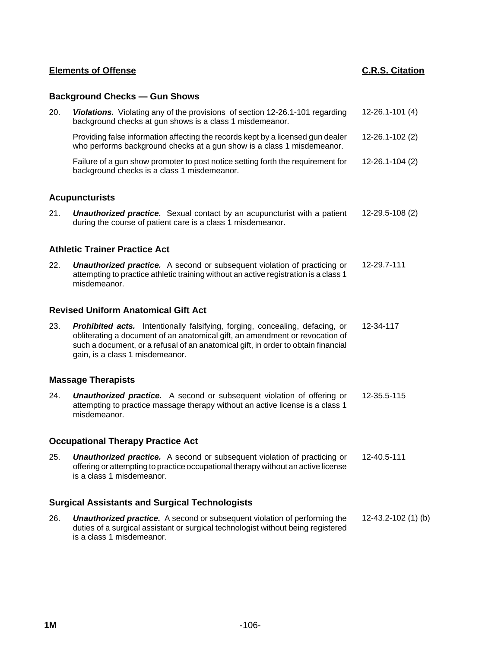## **Background Checks — Gun Shows**

| 20. | Violations. Violating any of the provisions of section 12-26.1-101 regarding<br>background checks at gun shows is a class 1 misdemeanor.                                                                                                                                             | 12-26.1-101 (4)     |
|-----|--------------------------------------------------------------------------------------------------------------------------------------------------------------------------------------------------------------------------------------------------------------------------------------|---------------------|
|     | Providing false information affecting the records kept by a licensed gun dealer<br>who performs background checks at a gun show is a class 1 misdemeanor.                                                                                                                            | 12-26.1-102 (2)     |
|     | Failure of a gun show promoter to post notice setting forth the requirement for<br>background checks is a class 1 misdemeanor.                                                                                                                                                       | 12-26.1-104 (2)     |
|     | <b>Acupuncturists</b>                                                                                                                                                                                                                                                                |                     |
| 21. | <b>Unauthorized practice.</b> Sexual contact by an acupuncturist with a patient<br>during the course of patient care is a class 1 misdemeanor.                                                                                                                                       | 12-29.5-108 (2)     |
|     | <b>Athletic Trainer Practice Act</b>                                                                                                                                                                                                                                                 |                     |
| 22. | <b>Unauthorized practice.</b> A second or subsequent violation of practicing or<br>attempting to practice athletic training without an active registration is a class 1<br>misdemeanor.                                                                                              | 12-29.7-111         |
|     | <b>Revised Uniform Anatomical Gift Act</b>                                                                                                                                                                                                                                           |                     |
| 23. | Prohibited acts. Intentionally falsifying, forging, concealing, defacing, or<br>obliterating a document of an anatomical gift, an amendment or revocation of<br>such a document, or a refusal of an anatomical gift, in order to obtain financial<br>gain, is a class 1 misdemeanor. | 12-34-117           |
|     | <b>Massage Therapists</b>                                                                                                                                                                                                                                                            |                     |
| 24. | <b>Unauthorized practice.</b> A second or subsequent violation of offering or<br>attempting to practice massage therapy without an active license is a class 1<br>misdemeanor.                                                                                                       | 12-35.5-115         |
|     | <b>Occupational Therapy Practice Act</b>                                                                                                                                                                                                                                             |                     |
| 25. | <b>Unauthorized practice.</b> A second or subsequent violation of practicing or<br>offering or attempting to practice occupational therapy without an active license<br>is a class 1 misdemeanor.                                                                                    | 12-40.5-111         |
|     | <b>Surgical Assistants and Surgical Technologists</b>                                                                                                                                                                                                                                |                     |
| 26. | <b>Unauthorized practice.</b> A second or subsequent violation of performing the<br>duties of a surgical assistant or surgical technologist without being registered                                                                                                                 | 12-43.2-102 (1) (b) |

is a class 1 misdemeanor.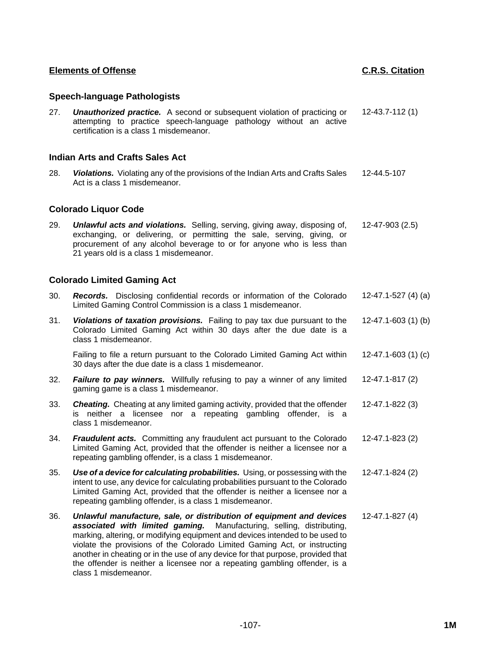## **Speech-language Pathologists**

27. *Unauthorized practice.* A second or subsequent violation of practicing or attempting to practice speech-language pathology without an active certification is a class 1 misdemeanor. 12-43.7-112 (1)

## **Indian Arts and Crafts Sales Act**

28. *Violations.* Violating any of the provisions of the Indian Arts and Crafts Sales Act is a class 1 misdemeanor. 12-44.5-107

## **Colorado Liquor Code**

29. *Unlawful acts and violations.* Selling, serving, giving away, disposing of, exchanging, or delivering, or permitting the sale, serving, giving, or procurement of any alcohol beverage to or for anyone who is less than 21 years old is a class 1 misdemeanor. 12-47-903 (2.5)

## **Colorado Limited Gaming Act**

- 30. *Records.* Disclosing confidential records or information of the Colorado Limited Gaming Control Commission is a class 1 misdemeanor. 12-47.1-527 (4) (a)
- 31. *Violations of taxation provisions.* Failing to pay tax due pursuant to the Colorado Limited Gaming Act within 30 days after the due date is a class 1 misdemeanor. 12-47.1-603 (1) (b)

Failing to file a return pursuant to the Colorado Limited Gaming Act within 30 days after the due date is a class 1 misdemeanor. 12-47.1-603 (1) (c)

- 32. *Failure to pay winners.* Willfully refusing to pay a winner of any limited gaming game is a class 1 misdemeanor. 12-47.1-817 (2)
- 33. *Cheating.* Cheating at any limited gaming activity, provided that the offender is neither a licensee nor a repeating gambling offender, is a class 1 misdemeanor. 12-47.1-822 (3)
- 34. *Fraudulent acts.* Committing any fraudulent act pursuant to the Colorado Limited Gaming Act, provided that the offender is neither a licensee nor a repeating gambling offender, is a class 1 misdemeanor. 12-47.1-823 (2)
- 35. *Use of a device for calculating probabilities.* Using, or possessing with the intent to use, any device for calculating probabilities pursuant to the Colorado Limited Gaming Act, provided that the offender is neither a licensee nor a repeating gambling offender, is a class 1 misdemeanor. 12-47.1-824 (2)
- 36. *Unlawful manufacture, sale, or distribution of equipment and devices associated with limited gaming.* Manufacturing, selling, distributing, marking, altering, or modifying equipment and devices intended to be used to violate the provisions of the Colorado Limited Gaming Act, or instructing another in cheating or in the use of any device for that purpose, provided that the offender is neither a licensee nor a repeating gambling offender, is a class 1 misdemeanor. 12-47.1-827 (4)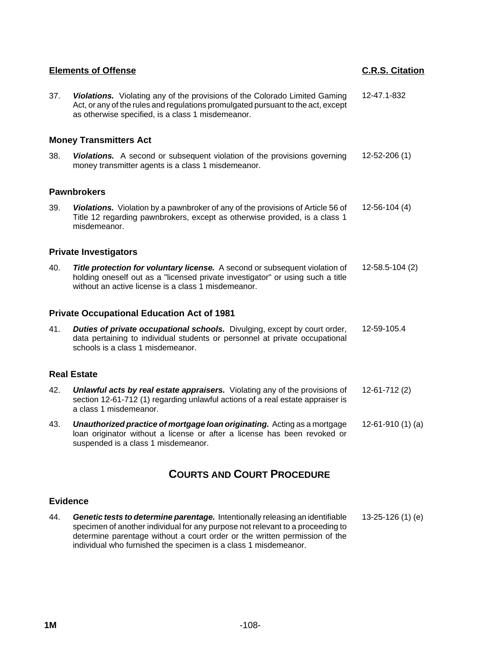| <b>Elements of Offense</b> |                                                                                                                                                                                                                      | <b>C.R.S. Citation</b> |
|----------------------------|----------------------------------------------------------------------------------------------------------------------------------------------------------------------------------------------------------------------|------------------------|
| 37.                        | Violations. Violating any of the provisions of the Colorado Limited Gaming<br>Act, or any of the rules and regulations promulgated pursuant to the act, except<br>as otherwise specified, is a class 1 misdemeanor.  | 12-47.1-832            |
|                            | <b>Money Transmitters Act</b>                                                                                                                                                                                        |                        |
| 38.                        | Violations. A second or subsequent violation of the provisions governing<br>money transmitter agents is a class 1 misdemeanor.                                                                                       | 12-52-206 (1)          |
|                            | <b>Pawnbrokers</b>                                                                                                                                                                                                   |                        |
| 39.                        | Violations. Violation by a pawnbroker of any of the provisions of Article 56 of<br>Title 12 regarding pawnbrokers, except as otherwise provided, is a class 1<br>misdemeanor.                                        | $12 - 56 - 104$ (4)    |
|                            | <b>Private Investigators</b>                                                                                                                                                                                         |                        |
| 40.                        | Title protection for voluntary license. A second or subsequent violation of<br>holding oneself out as a "licensed private investigator" or using such a title<br>without an active license is a class 1 misdemeanor. | 12-58.5-104 (2)        |
|                            | <b>Private Occupational Education Act of 1981</b>                                                                                                                                                                    |                        |
| 41.                        | Duties of private occupational schools. Divulging, except by court order,<br>data pertaining to individual students or personnel at private occupational<br>schools is a class 1 misdemeanor.                        | 12-59-105.4            |
|                            | <b>Real Estate</b>                                                                                                                                                                                                   |                        |
| 42.                        | <b>Unlawful acts by real estate appraisers.</b> Violating any of the provisions of<br>section 12-61-712 (1) regarding unlawful actions of a real estate appraiser is<br>a class 1 misdemeanor.                       | $12-61-712(2)$         |
| 43.                        | Unauthorized practice of mortgage loan originating. Acting as a mortgage<br>loan originator without a license or after a license has been revoked or<br>suspended is a class 1 misdemeanor.                          | $12-61-910(1)$ (a)     |
|                            | <b>COURTS AND COURT PROCEDURE</b>                                                                                                                                                                                    |                        |

## **Evidence**

44. *Genetic tests to determine parentage.* Intentionally releasing an identifiable specimen of another individual for any purpose not relevant to a proceeding to determine parentage without a court order or the written permission of the individual who furnished the specimen is a class 1 misdemeanor. 13-25-126 (1) (e)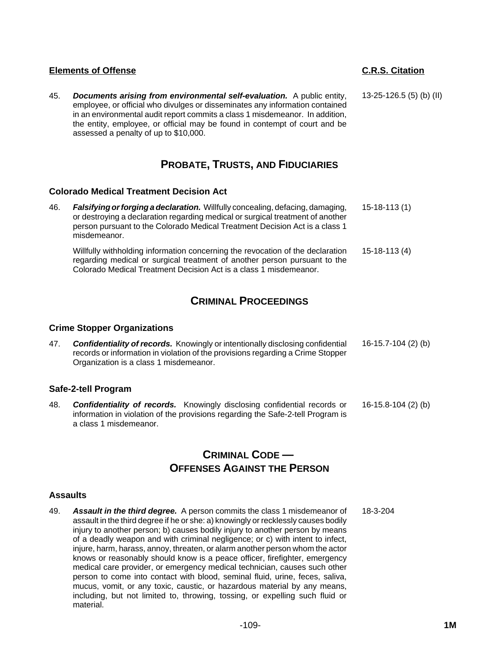45. *Documents arising from environmental self-evaluation.* A public entity, employee, or official who divulges or disseminates any information contained in an environmental audit report commits a class 1 misdemeanor. In addition, the entity, employee, or official may be found in contempt of court and be assessed a penalty of up to \$10,000.

## **PROBATE, TRUSTS, AND FIDUCIARIES**

## **Colorado Medical Treatment Decision Act**

| 46. | <b>Falsifying or forging a declaration.</b> Willfully concealing, defacing, damaging,<br>or destroying a declaration regarding medical or surgical treatment of another<br>person pursuant to the Colorado Medical Treatment Decision Act is a class 1<br>misdemeanor. | $15-18-113(1)$ |
|-----|------------------------------------------------------------------------------------------------------------------------------------------------------------------------------------------------------------------------------------------------------------------------|----------------|
|     | Willfully withholding information concerning the revocation of the declaration<br>regarding medical or surgical treatment of another person pursuant to the<br>Colorado Medical Treatment Decision Act is a class 1 misdemeanor.                                       | $15-18-113(4)$ |

# **CRIMINAL PROCEEDINGS**

## **Crime Stopper Organizations**

47. *Confidentiality of records.* Knowingly or intentionally disclosing confidential records or information in violation of the provisions regarding a Crime Stopper Organization is a class 1 misdemeanor. 16-15.7-104 (2) (b)

## **Safe-2-tell Program**

48. *Confidentiality of records.* Knowingly disclosing confidential records or information in violation of the provisions regarding the Safe-2-tell Program is a class 1 misdemeanor. 16-15.8-104 (2) (b)

# **CRIMINAL CODE — OFFENSES AGAINST THE PERSON**

#### **Assaults**

49. *Assault in the third degree.* A person commits the class 1 misdemeanor of assault in the third degree if he or she: a) knowingly or recklessly causes bodily injury to another person; b) causes bodily injury to another person by means of a deadly weapon and with criminal negligence; or c) with intent to infect, injure, harm, harass, annoy, threaten, or alarm another person whom the actor knows or reasonably should know is a peace officer, firefighter, emergency medical care provider, or emergency medical technician, causes such other person to come into contact with blood, seminal fluid, urine, feces, saliva, mucus, vomit, or any toxic, caustic, or hazardous material by any means, including, but not limited to, throwing, tossing, or expelling such fluid or material. 18-3-204

13-25-126.5 (5) (b) (II)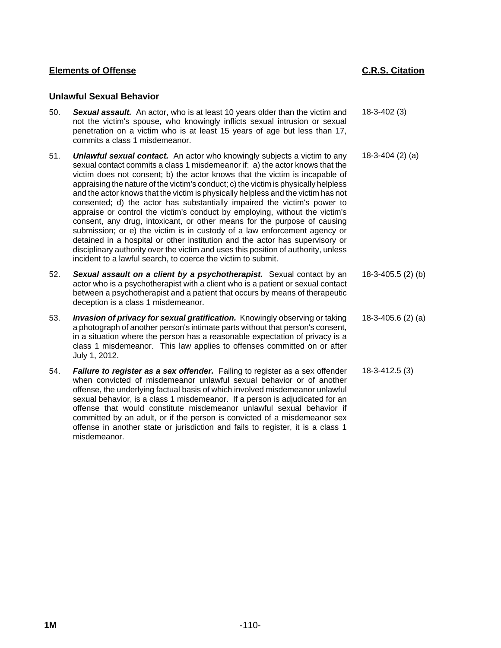## **Unlawful Sexual Behavior**

- 50. *Sexual assault.* An actor, who is at least 10 years older than the victim and not the victim's spouse, who knowingly inflicts sexual intrusion or sexual penetration on a victim who is at least 15 years of age but less than 17, commits a class 1 misdemeanor. 18-3-402 (3) 51. *Unlawful sexual contact.* An actor who knowingly subjects a victim to any 18-3-404 (2) (a)
- sexual contact commits a class 1 misdemeanor if: a) the actor knows that the victim does not consent; b) the actor knows that the victim is incapable of appraising the nature of the victim's conduct; c) the victim is physically helpless and the actor knows that the victim is physically helpless and the victim has not consented; d) the actor has substantially impaired the victim's power to appraise or control the victim's conduct by employing, without the victim's consent, any drug, intoxicant, or other means for the purpose of causing submission; or e) the victim is in custody of a law enforcement agency or detained in a hospital or other institution and the actor has supervisory or disciplinary authority over the victim and uses this position of authority, unless incident to a lawful search, to coerce the victim to submit.
- 52. *Sexual assault on a client by a psychotherapist.* Sexual contact by an actor who is a psychotherapist with a client who is a patient or sexual contact between a psychotherapist and a patient that occurs by means of therapeutic deception is a class 1 misdemeanor. 18-3-405.5 (2) (b)
- 53. *Invasion of privacy for sexual gratification.* Knowingly observing or taking a photograph of another person's intimate parts without that person's consent, in a situation where the person has a reasonable expectation of privacy is a class 1 misdemeanor. This law applies to offenses committed on or after July 1, 2012. 18-3-405.6 (2) (a)
- 54. *Failure to register as a sex offender.* Failing to register as a sex offender when convicted of misdemeanor unlawful sexual behavior or of another offense, the underlying factual basis of which involved misdemeanor unlawful sexual behavior, is a class 1 misdemeanor. If a person is adjudicated for an offense that would constitute misdemeanor unlawful sexual behavior if committed by an adult, or if the person is convicted of a misdemeanor sex offense in another state or jurisdiction and fails to register, it is a class 1 misdemeanor. 18-3-412.5 (3)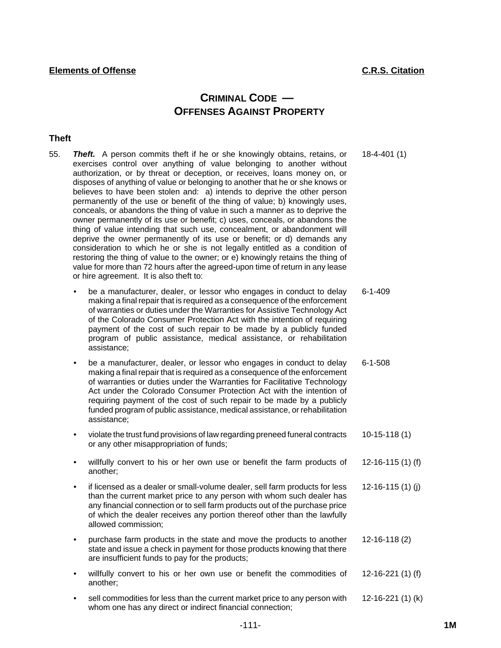# **CRIMINAL CODE — OFFENSES AGAINST PROPERTY**

## **Theft**

- 55. *Theft.* A person commits theft if he or she knowingly obtains, retains, or exercises control over anything of value belonging to another without authorization, or by threat or deception, or receives, loans money on, or disposes of anything of value or belonging to another that he or she knows or believes to have been stolen and: a) intends to deprive the other person permanently of the use or benefit of the thing of value; b) knowingly uses, conceals, or abandons the thing of value in such a manner as to deprive the owner permanently of its use or benefit; c) uses, conceals, or abandons the thing of value intending that such use, concealment, or abandonment will deprive the owner permanently of its use or benefit; or d) demands any consideration to which he or she is not legally entitled as a condition of restoring the thing of value to the owner; or e) knowingly retains the thing of value for more than 72 hours after the agreed-upon time of return in any lease or hire agreement. It is also theft to: 18-4-401 (1)
	- be a manufacturer, dealer, or lessor who engages in conduct to delay making a final repair that is required as a consequence of the enforcement of warranties or duties under the Warranties for Assistive Technology Act of the Colorado Consumer Protection Act with the intention of requiring payment of the cost of such repair to be made by a publicly funded program of public assistance, medical assistance, or rehabilitation assistance; 6-1-409
	- be a manufacturer, dealer, or lessor who engages in conduct to delay making a final repair that is required as a consequence of the enforcement of warranties or duties under the Warranties for Facilitative Technology Act under the Colorado Consumer Protection Act with the intention of requiring payment of the cost of such repair to be made by a publicly funded program of public assistance, medical assistance, or rehabilitation assistance; 6-1-508
	- violate the trust fund provisions of law regarding preneed funeral contracts or any other misappropriation of funds; 10-15-118 (1)
	- willfully convert to his or her own use or benefit the farm products of another; 12-16-115 (1) (f)
	- if licensed as a dealer or small-volume dealer, sell farm products for less than the current market price to any person with whom such dealer has any financial connection or to sell farm products out of the purchase price of which the dealer receives any portion thereof other than the lawfully allowed commission; 12-16-115 (1) (j)
	- purchase farm products in the state and move the products to another state and issue a check in payment for those products knowing that there are insufficient funds to pay for the products; 12-16-118 (2)
	- willfully convert to his or her own use or benefit the commodities of another; 12-16-221 (1) (f)
	- sell commodities for less than the current market price to any person with whom one has any direct or indirect financial connection; 12-16-221 (1) (k)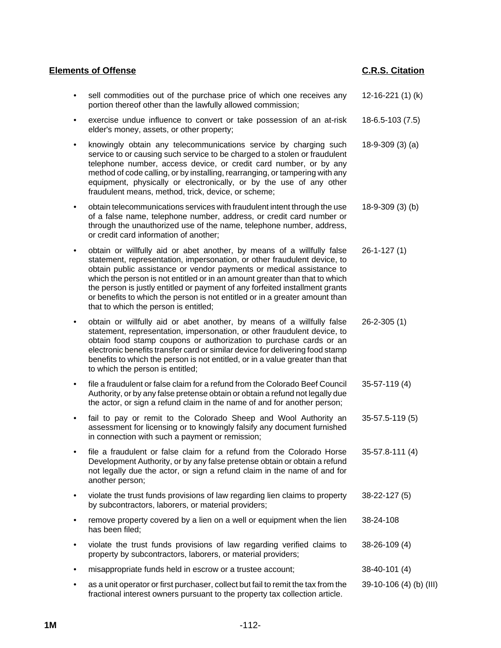| <b>Elements of Offense</b> |                                                                                                                                                                                                                                                                                                                                                                                                                                                                                                                   | <b>C.R.S. Citation</b>  |  |
|----------------------------|-------------------------------------------------------------------------------------------------------------------------------------------------------------------------------------------------------------------------------------------------------------------------------------------------------------------------------------------------------------------------------------------------------------------------------------------------------------------------------------------------------------------|-------------------------|--|
| $\bullet$                  | sell commodities out of the purchase price of which one receives any<br>portion thereof other than the lawfully allowed commission;                                                                                                                                                                                                                                                                                                                                                                               | 12-16-221 $(1)$ $(k)$   |  |
| $\bullet$                  | exercise undue influence to convert or take possession of an at-risk<br>elder's money, assets, or other property;                                                                                                                                                                                                                                                                                                                                                                                                 | 18-6.5-103 (7.5)        |  |
| $\bullet$                  | knowingly obtain any telecommunications service by charging such<br>service to or causing such service to be charged to a stolen or fraudulent<br>telephone number, access device, or credit card number, or by any<br>method of code calling, or by installing, rearranging, or tampering with any<br>equipment, physically or electronically, or by the use of any other<br>fraudulent means, method, trick, device, or scheme;                                                                                 | $18-9-309(3)$ (a)       |  |
| $\bullet$                  | obtain telecommunications services with fraudulent intent through the use<br>of a false name, telephone number, address, or credit card number or<br>through the unauthorized use of the name, telephone number, address,<br>or credit card information of another;                                                                                                                                                                                                                                               | $18-9-309(3)$ (b)       |  |
| ٠                          | obtain or willfully aid or abet another, by means of a willfully false<br>statement, representation, impersonation, or other fraudulent device, to<br>obtain public assistance or vendor payments or medical assistance to<br>which the person is not entitled or in an amount greater than that to which<br>the person is justly entitled or payment of any forfeited installment grants<br>or benefits to which the person is not entitled or in a greater amount than<br>that to which the person is entitled; | $26 - 1 - 127(1)$       |  |
| ٠                          | obtain or willfully aid or abet another, by means of a willfully false<br>statement, representation, impersonation, or other fraudulent device, to<br>obtain food stamp coupons or authorization to purchase cards or an<br>electronic benefits transfer card or similar device for delivering food stamp<br>benefits to which the person is not entitled, or in a value greater than that<br>to which the person is entitled;                                                                                    | $26 - 2 - 305(1)$       |  |
| $\bullet$                  | file a fraudulent or false claim for a refund from the Colorado Beef Council<br>Authority, or by any false pretense obtain or obtain a refund not legally due<br>the actor, or sign a refund claim in the name of and for another person;                                                                                                                                                                                                                                                                         | $35-57-119(4)$          |  |
|                            | fail to pay or remit to the Colorado Sheep and Wool Authority an<br>assessment for licensing or to knowingly falsify any document furnished<br>in connection with such a payment or remission;                                                                                                                                                                                                                                                                                                                    | 35-57.5-119 (5)         |  |
| $\bullet$                  | file a fraudulent or false claim for a refund from the Colorado Horse<br>Development Authority, or by any false pretense obtain or obtain a refund<br>not legally due the actor, or sign a refund claim in the name of and for<br>another person;                                                                                                                                                                                                                                                                 | 35-57.8-111 (4)         |  |
| ٠                          | violate the trust funds provisions of law regarding lien claims to property<br>by subcontractors, laborers, or material providers;                                                                                                                                                                                                                                                                                                                                                                                | 38-22-127 (5)           |  |
| ٠                          | remove property covered by a lien on a well or equipment when the lien<br>has been filed;                                                                                                                                                                                                                                                                                                                                                                                                                         | 38-24-108               |  |
| ٠                          | violate the trust funds provisions of law regarding verified claims to<br>property by subcontractors, laborers, or material providers;                                                                                                                                                                                                                                                                                                                                                                            | 38-26-109 (4)           |  |
|                            | misappropriate funds held in escrow or a trustee account;                                                                                                                                                                                                                                                                                                                                                                                                                                                         | 38-40-101 (4)           |  |
|                            | as a unit operator or first purchaser, collect but fail to remit the tax from the<br>fractional interest owners pursuant to the property tax collection article.                                                                                                                                                                                                                                                                                                                                                  | 39-10-106 (4) (b) (III) |  |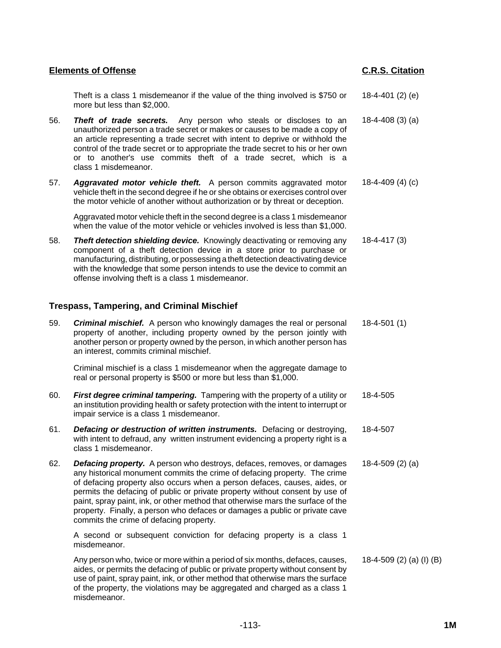Theft is a class 1 misdemeanor if the value of the thing involved is \$750 or more but less than \$2,000. 18-4-401 (2) (e)

- 56. *Theft of trade secrets.* Any person who steals or discloses to an unauthorized person a trade secret or makes or causes to be made a copy of an article representing a trade secret with intent to deprive or withhold the control of the trade secret or to appropriate the trade secret to his or her own or to another's use commits theft of a trade secret, which is a class 1 misdemeanor. 18-4-408 (3) (a)
- 57. *Aggravated motor vehicle theft.* A person commits aggravated motor vehicle theft in the second degree if he or she obtains or exercises control over the motor vehicle of another without authorization or by threat or deception. 18-4-409 (4) (c)

Aggravated motor vehicle theft in the second degree is a class 1 misdemeanor when the value of the motor vehicle or vehicles involved is less than \$1,000.

58. *Theft detection shielding device.* Knowingly deactivating or removing any component of a theft detection device in a store prior to purchase or manufacturing, distributing, or possessing a theft detection deactivating device with the knowledge that some person intends to use the device to commit an offense involving theft is a class 1 misdemeanor. 18-4-417 (3)

## **Trespass, Tampering, and Criminal Mischief**

59. *Criminal mischief.* A person who knowingly damages the real or personal property of another, including property owned by the person jointly with another person or property owned by the person, in which another person has an interest, commits criminal mischief. 18-4-501 (1) Criminal mischief is a class 1 misdemeanor when the aggregate damage to real or personal property is \$500 or more but less than \$1,000. 60. *First degree criminal tampering.* Tampering with the property of a utility or an institution providing health or safety protection with the intent to interrupt or impair service is a class 1 misdemeanor. 18-4-505 61. *Defacing or destruction of written instruments.* Defacing or destroying, with intent to defraud, any written instrument evidencing a property right is a class 1 misdemeanor. 18-4-507 62. *Defacing property.* A person who destroys, defaces, removes, or damages any historical monument commits the crime of defacing property. The crime of defacing property also occurs when a person defaces, causes, aides, or permits the defacing of public or private property without consent by use of paint, spray paint, ink, or other method that otherwise mars the surface of the property. Finally, a person who defaces or damages a public or private cave commits the crime of defacing property. 18-4-509 (2) (a) A second or subsequent conviction for defacing property is a class 1 misdemeanor.

Any person who, twice or more within a period of six months, defaces, causes, aides, or permits the defacing of public or private property without consent by use of paint, spray paint, ink, or other method that otherwise mars the surface of the property, the violations may be aggregated and charged as a class 1 misdemeanor. 18-4-509 (2) (a) (I) (B)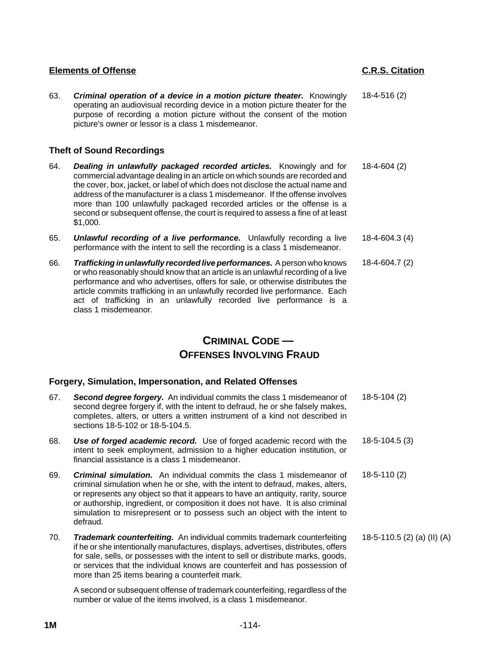- 
- 63. *Criminal operation of a device in a motion picture theater.* Knowingly operating an audiovisual recording device in a motion picture theater for the purpose of recording a motion picture without the consent of the motion picture's owner or lessor is a class 1 misdemeanor. 18-4-516 (2)

## **Theft of Sound Recordings**

- 64. *Dealing in unlawfully packaged recorded articles.* Knowingly and for commercial advantage dealing in an article on which sounds are recorded and the cover, box, jacket, or label of which does not disclose the actual name and address of the manufacturer is a class 1 misdemeanor. If the offense involves more than 100 unlawfully packaged recorded articles or the offense is a second or subsequent offense, the court is required to assess a fine of at least \$1,000. 18-4-604 (2)
- 65. *Unlawful recording of a live performance.* Unlawfully recording a live performance with the intent to sell the recording is a class 1 misdemeanor. 18-4-604.3 (4)
- 66. *Trafficking in unlawfully recorded live performances.* A person who knows or who reasonably should know that an article is an unlawful recording of a live performance and who advertises, offers for sale, or otherwise distributes the article commits trafficking in an unlawfully recorded live performance. Each act of trafficking in an unlawfully recorded live performance is a class 1 misdemeanor. 18-4-604.7 (2)

# **CRIMINAL CODE — OFFENSES INVOLVING FRAUD**

## **Forgery, Simulation, Impersonation, and Related Offenses**

67. *Second degree forgery.* An individual commits the class 1 misdemeanor of second degree forgery if, with the intent to defraud, he or she falsely makes, completes, alters, or utters a written instrument of a kind not described in sections 18-5-102 or 18-5-104.5. 18-5-104 (2) 68. *Use of forged academic record.* Use of forged academic record with the intent to seek employment, admission to a higher education institution, or financial assistance is a class 1 misdemeanor. 18-5-104.5 (3) 69. *Criminal simulation.* An individual commits the class 1 misdemeanor of criminal simulation when he or she, with the intent to defraud, makes, alters, or represents any object so that it appears to have an antiquity, rarity, source or authorship, ingredient, or composition it does not have. It is also criminal simulation to misrepresent or to possess such an object with the intent to defraud. 18-5-110 (2) 70. *Trademark counterfeiting.* An individual commits trademark counterfeiting if he or she intentionally manufactures, displays, advertises, distributes, offers for sale, sells, or possesses with the intent to sell or distribute marks, goods, or services that the individual knows are counterfeit and has possession of more than 25 items bearing a counterfeit mark. 18-5-110.5 (2) (a) (II) (A) A second or subsequent offense of trademark counterfeiting, regardless of the number or value of the items involved, is a class 1 misdemeanor.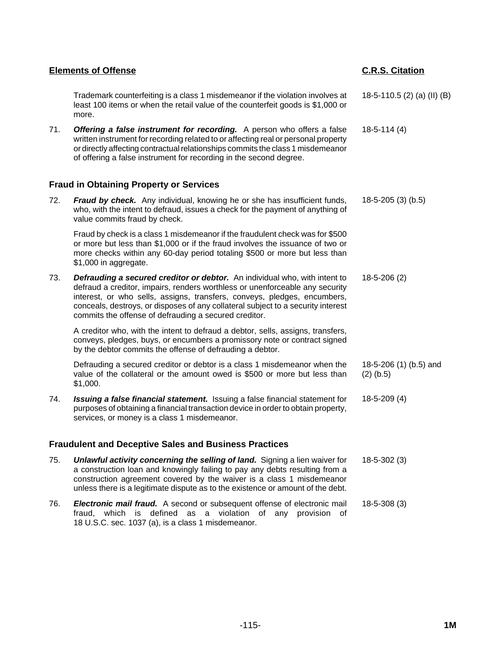| <b>Elements of Offense</b>                                   |                                                                                                                                                                                                                                                                                                                                                                                     | <b>C.R.S. Citation</b>                |  |
|--------------------------------------------------------------|-------------------------------------------------------------------------------------------------------------------------------------------------------------------------------------------------------------------------------------------------------------------------------------------------------------------------------------------------------------------------------------|---------------------------------------|--|
|                                                              | Trademark counterfeiting is a class 1 misdemeanor if the violation involves at<br>least 100 items or when the retail value of the counterfeit goods is \$1,000 or<br>more.                                                                                                                                                                                                          | 18-5-110.5 (2) (a) (II) (B)           |  |
| 71.                                                          | Offering a false instrument for recording. A person who offers a false<br>written instrument for recording related to or affecting real or personal property<br>or directly affecting contractual relationships commits the class 1 misdemeanor<br>of offering a false instrument for recording in the second degree.                                                               | $18-5-114(4)$                         |  |
|                                                              | <b>Fraud in Obtaining Property or Services</b>                                                                                                                                                                                                                                                                                                                                      |                                       |  |
| 72.                                                          | Fraud by check. Any individual, knowing he or she has insufficient funds,<br>who, with the intent to defraud, issues a check for the payment of anything of<br>value commits fraud by check.                                                                                                                                                                                        | $18-5-205(3)(b.5)$                    |  |
|                                                              | Fraud by check is a class 1 misdemeanor if the fraudulent check was for \$500<br>or more but less than \$1,000 or if the fraud involves the issuance of two or<br>more checks within any 60-day period totaling \$500 or more but less than<br>\$1,000 in aggregate.                                                                                                                |                                       |  |
| 73.                                                          | Defrauding a secured creditor or debtor. An individual who, with intent to<br>defraud a creditor, impairs, renders worthless or unenforceable any security<br>interest, or who sells, assigns, transfers, conveys, pledges, encumbers,<br>conceals, destroys, or disposes of any collateral subject to a security interest<br>commits the offense of defrauding a secured creditor. | $18-5-206(2)$                         |  |
|                                                              | A creditor who, with the intent to defraud a debtor, sells, assigns, transfers,<br>conveys, pledges, buys, or encumbers a promissory note or contract signed<br>by the debtor commits the offense of defrauding a debtor.                                                                                                                                                           |                                       |  |
|                                                              | Defrauding a secured creditor or debtor is a class 1 misdemeanor when the<br>value of the collateral or the amount owed is \$500 or more but less than<br>\$1,000.                                                                                                                                                                                                                  | 18-5-206 (1) (b.5) and<br>$(2)$ (b.5) |  |
| 74.                                                          | Issuing a false financial statement. Issuing a false financial statement for<br>purposes of obtaining a financial transaction device in order to obtain property,<br>services, or money is a class 1 misdemeanor.                                                                                                                                                                   | $18-5-209(4)$                         |  |
| <b>Fraudulent and Deceptive Sales and Business Practices</b> |                                                                                                                                                                                                                                                                                                                                                                                     |                                       |  |
| 75.                                                          | <b>Unlawful activity concerning the selling of land.</b> Signing a lien waiver for<br>a construction loan and knowingly failing to pay any debts resulting from a<br>construction agreement covered by the waiver is a class 1 misdemeanor<br>unless there is a legitimate dispute as to the existence or amount of the debt.                                                       | $18-5-302(3)$                         |  |
| 76.                                                          | <b>Electronic mail fraud.</b> A second or subsequent offense of electronic mail<br>fraud, which is defined as a violation of any provision of<br>18 U.S.C. sec. 1037 (a), is a class 1 misdemeanor.                                                                                                                                                                                 | $18-5-308(3)$                         |  |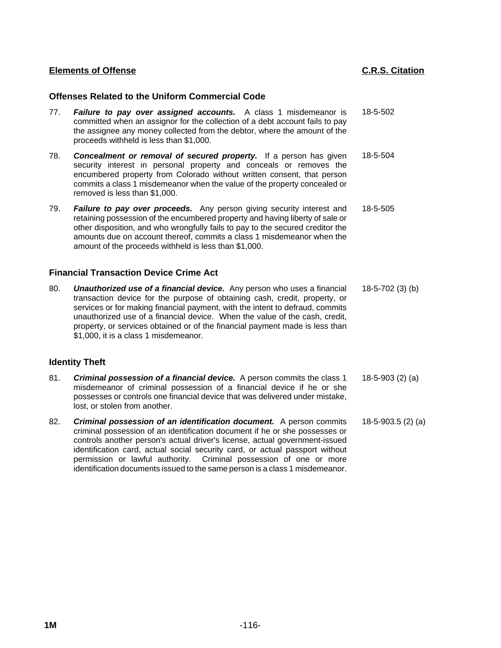## **Offenses Related to the Uniform Commercial Code**

- 77. *Failure to pay over assigned accounts.* A class 1 misdemeanor is committed when an assignor for the collection of a debt account fails to pay the assignee any money collected from the debtor, where the amount of the proceeds withheld is less than \$1,000. 18-5-502
- 78. *Concealment or removal of secured property.* If a person has given security interest in personal property and conceals or removes the encumbered property from Colorado without written consent, that person commits a class 1 misdemeanor when the value of the property concealed or removed is less than \$1,000. 18-5-504
- 79. *Failure to pay over proceeds.* Any person giving security interest and retaining possession of the encumbered property and having liberty of sale or other disposition, and who wrongfully fails to pay to the secured creditor the amounts due on account thereof, commits a class 1 misdemeanor when the amount of the proceeds withheld is less than \$1,000. 18-5-505

## **Financial Transaction Device Crime Act**

80. *Unauthorized use of a financial device.* Any person who uses a financial transaction device for the purpose of obtaining cash, credit, property, or services or for making financial payment, with the intent to defraud, commits unauthorized use of a financial device. When the value of the cash, credit, property, or services obtained or of the financial payment made is less than \$1,000, it is a class 1 misdemeanor. 18-5-702 (3) (b)

## **Identity Theft**

- 81. *Criminal possession of a financial device.* A person commits the class 1 misdemeanor of criminal possession of a financial device if he or she possesses or controls one financial device that was delivered under mistake, lost, or stolen from another. 18-5-903 (2) (a)
- 82. *Criminal possession of an identification document.* A person commits criminal possession of an identification document if he or she possesses or controls another person's actual driver's license, actual government-issued identification card, actual social security card, or actual passport without permission or lawful authority. Criminal possession of one or more identification documents issued to the same person is a class 1 misdemeanor. 18-5-903.5 (2) (a)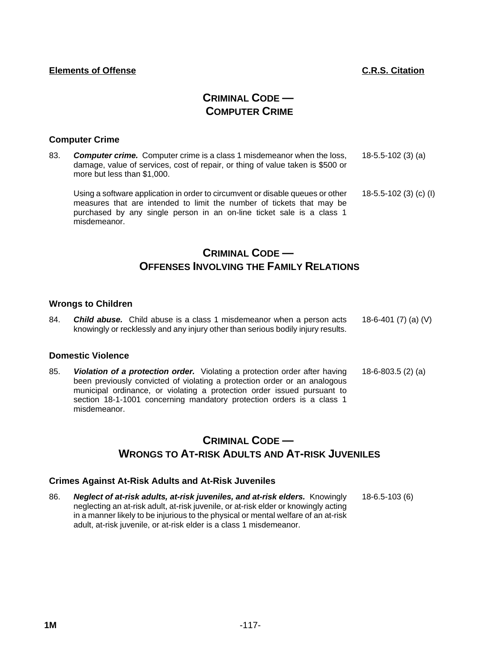# **CRIMINAL CODE — COMPUTER CRIME**

## **Computer Crime**

83. *Computer crime.* Computer crime is a class 1 misdemeanor when the loss, damage, value of services, cost of repair, or thing of value taken is \$500 or more but less than \$1,000. 18-5.5-102 (3) (a)

Using a software application in order to circumvent or disable queues or other measures that are intended to limit the number of tickets that may be purchased by any single person in an on-line ticket sale is a class 1 misdemeanor. 18-5.5-102 (3) (c) (I)

# **CRIMINAL CODE — OFFENSES INVOLVING THE FAMILY RELATIONS**

## **Wrongs to Children**

84. *Child abuse.* Child abuse is a class 1 misdemeanor when a person acts knowingly or recklessly and any injury other than serious bodily injury results. 18-6-401 (7) (a) (V)

## **Domestic Violence**

85. *Violation of a protection order.* Violating a protection order after having been previously convicted of violating a protection order or an analogous municipal ordinance, or violating a protection order issued pursuant to section 18-1-1001 concerning mandatory protection orders is a class 1 misdemeanor. 18-6-803.5 (2) (a)

# **CRIMINAL CODE — WRONGS TO AT-RISK ADULTS AND AT-RISK JUVENILES**

## **Crimes Against At-Risk Adults and At-Risk Juveniles**

86. *Neglect of at-risk adults, at-risk juveniles, and at-risk elders.* Knowingly neglecting an at-risk adult, at-risk juvenile, or at-risk elder or knowingly acting in a manner likely to be injurious to the physical or mental welfare of an at-risk adult, at-risk juvenile, or at-risk elder is a class 1 misdemeanor. 18-6.5-103 (6)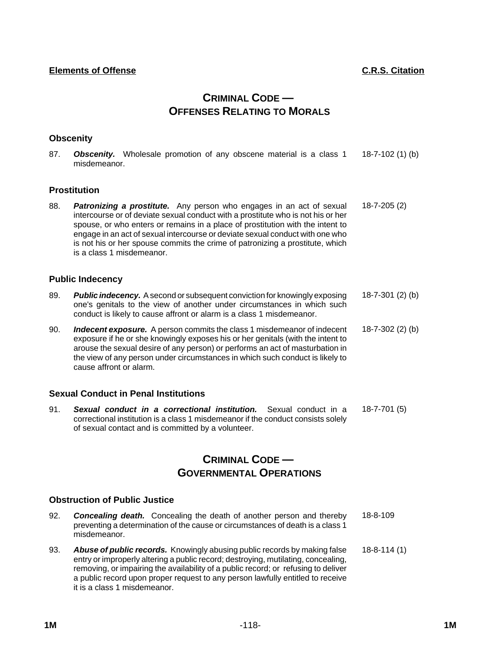# **CRIMINAL CODE — OFFENSES RELATING TO MORALS**

## **Obscenity**

87. *Obscenity.* Wholesale promotion of any obscene material is a class 1 misdemeanor. 18-7-102 (1) (b)

## **Prostitution**

88. *Patronizing a prostitute.* Any person who engages in an act of sexual intercourse or of deviate sexual conduct with a prostitute who is not his or her spouse, or who enters or remains in a place of prostitution with the intent to engage in an act of sexual intercourse or deviate sexual conduct with one who is not his or her spouse commits the crime of patronizing a prostitute, which is a class 1 misdemeanor. 18-7-205 (2)

## **Public Indecency**

- 89. *Public indecency.* A second or subsequent conviction for knowingly exposing one's genitals to the view of another under circumstances in which such conduct is likely to cause affront or alarm is a class 1 misdemeanor. 18-7-301 (2) (b)
- 90. *Indecent exposure.* A person commits the class 1 misdemeanor of indecent exposure if he or she knowingly exposes his or her genitals (with the intent to arouse the sexual desire of any person) or performs an act of masturbation in the view of any person under circumstances in which such conduct is likely to cause affront or alarm. 18-7-302 (2) (b)

## **Sexual Conduct in Penal Institutions**

91. *Sexual conduct in a correctional institution.* Sexual conduct in a correctional institution is a class 1 misdemeanor if the conduct consists solely of sexual contact and is committed by a volunteer. 18-7-701 (5)

## **CRIMINAL CODE — GOVERNMENTAL OPERATIONS**

## **Obstruction of Public Justice**

- 92. *Concealing death.* Concealing the death of another person and thereby preventing a determination of the cause or circumstances of death is a class 1 misdemeanor. 18-8-109
- 93. *Abuse of public records.* Knowingly abusing public records by making false entry or improperly altering a public record; destroying, mutilating, concealing, removing, or impairing the availability of a public record; or refusing to deliver a public record upon proper request to any person lawfully entitled to receive it is a class 1 misdemeanor. 18-8-114 (1)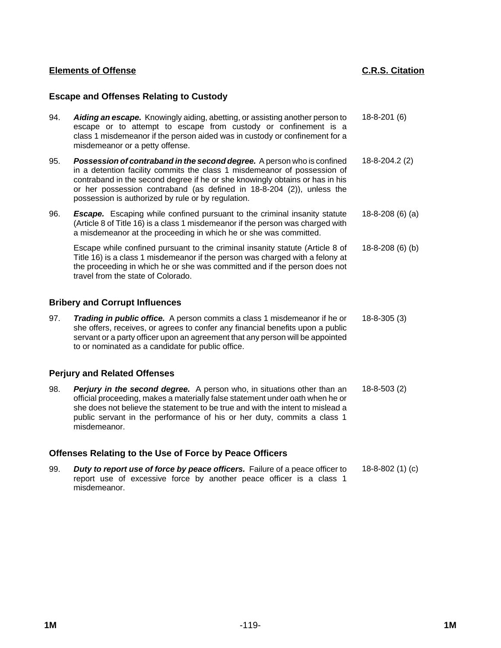## **Escape and Offenses Relating to Custody**

| 94.<br>Aiding an escape. Knowingly aiding, abetting, or assisting another person to<br>escape or to attempt to escape from custody or confinement is a<br>class 1 misdemeanor if the person aided was in custody or confinement for a<br>misdemeanor or a petty offense.                                                                                                  | $18 - 8 - 201(6)$   |
|---------------------------------------------------------------------------------------------------------------------------------------------------------------------------------------------------------------------------------------------------------------------------------------------------------------------------------------------------------------------------|---------------------|
| 95.<br>Possession of contraband in the second degree. A person who is confined<br>in a detention facility commits the class 1 misdemeanor of possession of<br>contraband in the second degree if he or she knowingly obtains or has in his<br>or her possession contraband (as defined in 18-8-204 (2)), unless the<br>possession is authorized by rule or by regulation. | $18 - 8 - 204.2(2)$ |
| 96.<br><b>Escape.</b> Escaping while confined pursuant to the criminal insanity statute<br>(Article 8 of Title 16) is a class 1 misdemeanor if the person was charged with<br>a misdemeanor at the proceeding in which he or she was committed.                                                                                                                           | 18-8-208 (6) (a)    |
| Escape while confined pursuant to the criminal insanity statute (Article 8 of<br>Title 16) is a class 1 misdemeanor if the person was charged with a felony at<br>the proceeding in which he or she was committed and if the person does not<br>travel from the state of Colorado.                                                                                        | 18-8-208 (6) (b)    |
| <b>Bribery and Corrupt Influences</b>                                                                                                                                                                                                                                                                                                                                     |                     |
| 97.<br>Trading in public office. A person commits a class 1 misdemeanor if he or<br>she offers, receives, or agrees to confer any financial benefits upon a public<br>servant or a party officer upon an agreement that any person will be appointed<br>to or nominated as a candidate for public office.                                                                 | $18 - 8 - 305(3)$   |
| <b>Perjury and Related Offenses</b>                                                                                                                                                                                                                                                                                                                                       |                     |
| 98.<br>Perjury in the second degree. A person who, in situations other than an<br>official proceeding, makes a materially false statement under oath when he or<br>she does not believe the statement to be true and with the intent to mislead a<br>public servant in the performance of his or her duty, commits a class 1<br>misdemeanor.                              | $18 - 8 - 503(2)$   |
| Offenses Relating to the Use of Force by Peace Officers                                                                                                                                                                                                                                                                                                                   |                     |

99. *Duty to report use of force by peace officers.* Failure of a peace officer to report use of excessive force by another peace officer is a class 1 misdemeanor. 18-8-802 (1) (c)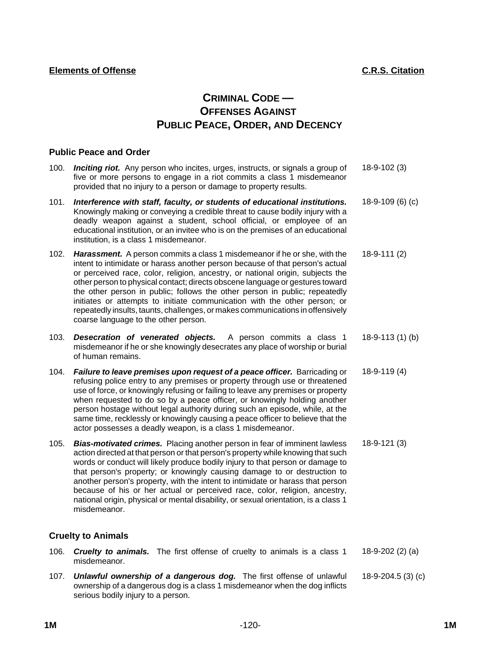# **CRIMINAL CODE — OFFENSES AGAINST PUBLIC PEACE, ORDER, AND DECENCY**

## **Public Peace and Order**

- 100. *Inciting riot.* Any person who incites, urges, instructs, or signals a group of five or more persons to engage in a riot commits a class 1 misdemeanor provided that no injury to a person or damage to property results. 18-9-102 (3)
- 101. *Interference with staff, faculty, or students of educational institutions.* Knowingly making or conveying a credible threat to cause bodily injury with a deadly weapon against a student, school official, or employee of an educational institution, or an invitee who is on the premises of an educational institution, is a class 1 misdemeanor. 18-9-109 (6) (c)
- 102. *Harassment.* A person commits a class 1 misdemeanor if he or she, with the intent to intimidate or harass another person because of that person's actual or perceived race, color, religion, ancestry, or national origin, subjects the other person to physical contact; directs obscene language or gestures toward the other person in public; follows the other person in public; repeatedly initiates or attempts to initiate communication with the other person; or repeatedly insults, taunts, challenges, or makes communications in offensively coarse language to the other person. 18-9-111 (2)
- 103. *Desecration of venerated objects.* A person commits a class 1 misdemeanor if he or she knowingly desecrates any place of worship or burial of human remains. 18-9-113 (1) (b)
- 104. *Failure to leave premises upon request of a peace officer.* Barricading or refusing police entry to any premises or property through use or threatened use of force, or knowingly refusing or failing to leave any premises or property when requested to do so by a peace officer, or knowingly holding another person hostage without legal authority during such an episode, while, at the same time, recklessly or knowingly causing a peace officer to believe that the actor possesses a deadly weapon, is a class 1 misdemeanor. 18-9-119 (4)
- 105. *Bias-motivated crimes.* Placing another person in fear of imminent lawless action directed at that person or that person's property while knowing that such words or conduct will likely produce bodily injury to that person or damage to that person's property; or knowingly causing damage to or destruction to another person's property, with the intent to intimidate or harass that person because of his or her actual or perceived race, color, religion, ancestry, national origin, physical or mental disability, or sexual orientation, is a class 1 misdemeanor. 18-9-121 (3)

## **Cruelty to Animals**

- 106. *Cruelty to animals.* The first offense of cruelty to animals is a class 1 misdemeanor. 18-9-202 (2) (a)
- 107. *Unlawful ownership of a dangerous dog.* The first offense of unlawful ownership of a dangerous dog is a class 1 misdemeanor when the dog inflicts serious bodily injury to a person. 18-9-204.5 (3) (c)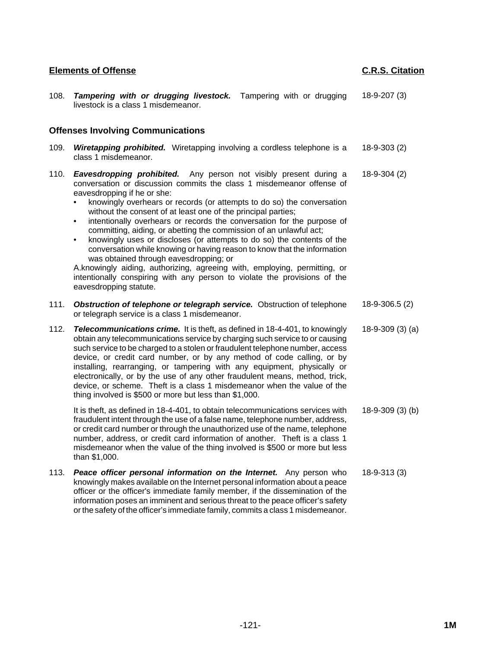| 108. | Tampering with or drugging livestock. Tampering with or drugging<br>livestock is a class 1 misdemeanor.                                                                                                                                                                                                                                                                                                                                                                                                                                                                                                                                                                                                                                                                                                                                                                   | $18-9-207(3)$     |
|------|---------------------------------------------------------------------------------------------------------------------------------------------------------------------------------------------------------------------------------------------------------------------------------------------------------------------------------------------------------------------------------------------------------------------------------------------------------------------------------------------------------------------------------------------------------------------------------------------------------------------------------------------------------------------------------------------------------------------------------------------------------------------------------------------------------------------------------------------------------------------------|-------------------|
|      | <b>Offenses Involving Communications</b>                                                                                                                                                                                                                                                                                                                                                                                                                                                                                                                                                                                                                                                                                                                                                                                                                                  |                   |
| 109. | <b>Wiretapping prohibited.</b> Wiretapping involving a cordless telephone is a<br>class 1 misdemeanor.                                                                                                                                                                                                                                                                                                                                                                                                                                                                                                                                                                                                                                                                                                                                                                    | $18-9-303(2)$     |
| 110. | <b>Eavesdropping prohibited.</b> Any person not visibly present during a<br>conversation or discussion commits the class 1 misdemeanor offense of<br>eavesdropping if he or she:<br>knowingly overhears or records (or attempts to do so) the conversation<br>without the consent of at least one of the principal parties;<br>intentionally overhears or records the conversation for the purpose of<br>٠<br>committing, aiding, or abetting the commission of an unlawful act;<br>knowingly uses or discloses (or attempts to do so) the contents of the<br>٠<br>conversation while knowing or having reason to know that the information<br>was obtained through eavesdropping; or<br>A.knowingly aiding, authorizing, agreeing with, employing, permitting, or<br>intentionally conspiring with any person to violate the provisions of the<br>eavesdropping statute. | $18-9-304(2)$     |
| 111. | Obstruction of telephone or telegraph service. Obstruction of telephone<br>or telegraph service is a class 1 misdemeanor.                                                                                                                                                                                                                                                                                                                                                                                                                                                                                                                                                                                                                                                                                                                                                 | 18-9-306.5 (2)    |
| 112. | <b>Telecommunications crime.</b> It is theft, as defined in 18-4-401, to knowingly<br>obtain any telecommunications service by charging such service to or causing<br>such service to be charged to a stolen or fraudulent telephone number, access<br>device, or credit card number, or by any method of code calling, or by<br>installing, rearranging, or tampering with any equipment, physically or<br>electronically, or by the use of any other fraudulent means, method, trick,<br>device, or scheme. Theft is a class 1 misdemeanor when the value of the<br>thing involved is \$500 or more but less than \$1,000.                                                                                                                                                                                                                                              | $18-9-309(3)$ (a) |
|      | It is theft, as defined in 18-4-401, to obtain telecommunications services with<br>fraudulent intent through the use of a false name, telephone number, address,<br>or credit card number or through the unauthorized use of the name, telephone<br>number, address, or credit card information of another. Theft is a class 1<br>misdemeanor when the value of the thing involved is \$500 or more but less<br>than \$1,000.                                                                                                                                                                                                                                                                                                                                                                                                                                             | 18-9-309 (3) (b)  |
| 113. | Peace officer personal information on the Internet. Any person who<br>knowingly makes available on the Internet personal information about a peace<br>officer or the officer's immediate family member, if the dissemination of the<br>information poses an imminent and serious threat to the peace officer's safety<br>or the safety of the officer's immediate family, commits a class 1 misdemeanor.                                                                                                                                                                                                                                                                                                                                                                                                                                                                  | $18 - 9 - 313(3)$ |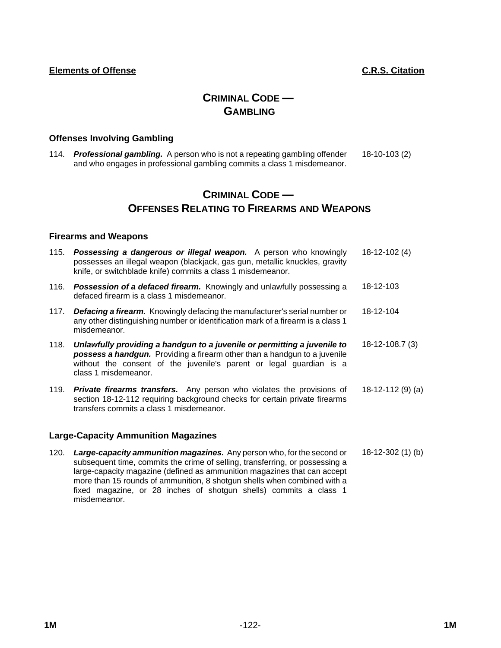# **CRIMINAL CODE — GAMBLING**

## **Offenses Involving Gambling**

114. *Professional gambling.* A person who is not a repeating gambling offender and who engages in professional gambling commits a class 1 misdemeanor. 18-10-103 (2)

# **CRIMINAL CODE — OFFENSES RELATING TO FIREARMS AND WEAPONS**

## **Firearms and Weapons**

| 115. | <b>Possessing a dangerous or illegal weapon.</b> A person who knowingly<br>possesses an illegal weapon (blackjack, gas gun, metallic knuckles, gravity<br>knife, or switchblade knife) commits a class 1 misdemeanor.                                | $18-12-102(4)$       |
|------|------------------------------------------------------------------------------------------------------------------------------------------------------------------------------------------------------------------------------------------------------|----------------------|
|      | 116. <b>Possession of a defaced firearm.</b> Knowingly and unlawfully possessing a<br>defaced firearm is a class 1 misdemeanor.                                                                                                                      | 18-12-103            |
| 117. | <b>Defacing a firearm.</b> Knowingly defacing the manufacturer's serial number or<br>any other distinguishing number or identification mark of a firearm is a class 1<br>misdemeanor.                                                                | 18-12-104            |
| 118. | Unlawfully providing a handgun to a juvenile or permitting a juvenile to<br>possess a handgun. Providing a firearm other than a handgun to a juvenile<br>without the consent of the juvenile's parent or legal guardian is a<br>class 1 misdemeanor. | $18 - 12 - 108.7(3)$ |
| 119. | <b>Private firearms transfers.</b> Any person who violates the provisions of<br>section 18-12-112 requiring background checks for certain private firearms<br>transfers commits a class 1 misdemeanor.                                               | 18-12-112 (9) (a)    |

## **Large-Capacity Ammunition Magazines**

120. *Large-capacity ammunition magazines.* Any person who, for the second or subsequent time, commits the crime of selling, transferring, or possessing a large-capacity magazine (defined as ammunition magazines that can accept more than 15 rounds of ammunition, 8 shotgun shells when combined with a fixed magazine, or 28 inches of shotgun shells) commits a class 1 misdemeanor. 18-12-302 (1) (b)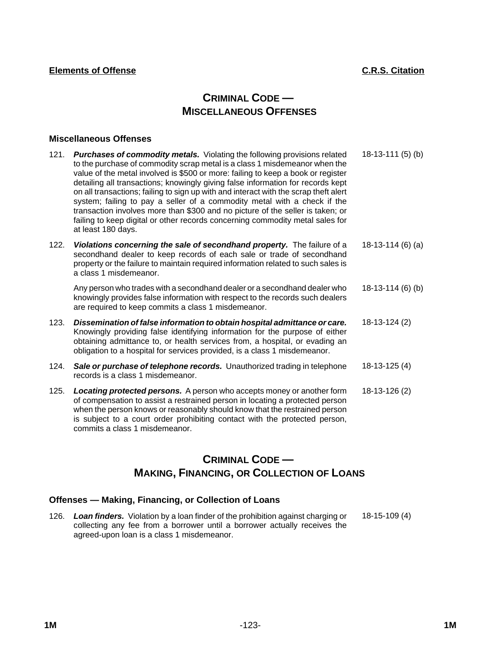# **CRIMINAL CODE — MISCELLANEOUS OFFENSES**

## **Miscellaneous Offenses**

| 121. | <b>Purchases of commodity metals.</b> Violating the following provisions related<br>to the purchase of commodity scrap metal is a class 1 misdemeanor when the<br>value of the metal involved is \$500 or more: failing to keep a book or register<br>detailing all transactions; knowingly giving false information for records kept<br>on all transactions; failing to sign up with and interact with the scrap theft alert<br>system; failing to pay a seller of a commodity metal with a check if the<br>transaction involves more than \$300 and no picture of the seller is taken; or<br>failing to keep digital or other records concerning commodity metal sales for<br>at least 180 days. | $18-13-111(5)$ (b) |
|------|----------------------------------------------------------------------------------------------------------------------------------------------------------------------------------------------------------------------------------------------------------------------------------------------------------------------------------------------------------------------------------------------------------------------------------------------------------------------------------------------------------------------------------------------------------------------------------------------------------------------------------------------------------------------------------------------------|--------------------|
| 122. | Violations concerning the sale of secondhand property. The failure of a<br>secondhand dealer to keep records of each sale or trade of secondhand<br>property or the failure to maintain required information related to such sales is<br>a class 1 misdemeanor.                                                                                                                                                                                                                                                                                                                                                                                                                                    | $18-13-114(6)$ (a) |
|      | Any person who trades with a secondhand dealer or a secondhand dealer who<br>knowingly provides false information with respect to the records such dealers<br>are required to keep commits a class 1 misdemeanor.                                                                                                                                                                                                                                                                                                                                                                                                                                                                                  | 18-13-114 (6) (b)  |
| 123. | Dissemination of false information to obtain hospital admittance or care.<br>Knowingly providing false identifying information for the purpose of either<br>obtaining admittance to, or health services from, a hospital, or evading an<br>obligation to a hospital for services provided, is a class 1 misdemeanor.                                                                                                                                                                                                                                                                                                                                                                               | 18-13-124 (2)      |
| 124. | Sale or purchase of telephone records. Unauthorized trading in telephone<br>records is a class 1 misdemeanor.                                                                                                                                                                                                                                                                                                                                                                                                                                                                                                                                                                                      | 18-13-125 (4)      |
| 125. | Locating protected persons. A person who accepts money or another form<br>of compensation to assist a restrained person in locating a protected person                                                                                                                                                                                                                                                                                                                                                                                                                                                                                                                                             | 18-13-126 (2)      |

of compensation to assist a restrained person in locating a protected person when the person knows or reasonably should know that the restrained person is subject to a court order prohibiting contact with the protected person, commits a class 1 misdemeanor.

# **CRIMINAL CODE — MAKING, FINANCING, OR COLLECTION OF LOANS**

## **Offenses — Making, Financing, or Collection of Loans**

126. *Loan finders.* Violation by a loan finder of the prohibition against charging or collecting any fee from a borrower until a borrower actually receives the agreed-upon loan is a class 1 misdemeanor. 18-15-109 (4)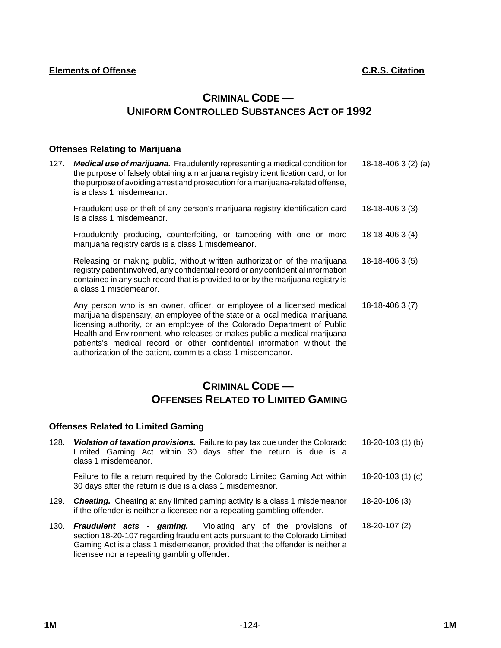# **CRIMINAL CODE — UNIFORM CONTROLLED SUBSTANCES ACT OF 1992**

## **Offenses Relating to Marijuana**

127. *Medical use of marijuana.* Fraudulently representing a medical condition for the purpose of falsely obtaining a marijuana registry identification card, or for the purpose of avoiding arrest and prosecution for a marijuana-related offense, is a class 1 misdemeanor. 18-18-406.3 (2) (a)

Fraudulent use or theft of any person's marijuana registry identification card is a class 1 misdemeanor. 18-18-406.3 (3)

Fraudulently producing, counterfeiting, or tampering with one or more marijuana registry cards is a class 1 misdemeanor. 18-18-406.3 (4)

Releasing or making public, without written authorization of the marijuana registry patient involved, any confidential record or any confidential information contained in any such record that is provided to or by the marijuana registry is a class 1 misdemeanor. 18-18-406.3 (5)

Any person who is an owner, officer, or employee of a licensed medical marijuana dispensary, an employee of the state or a local medical marijuana licensing authority, or an employee of the Colorado Department of Public Health and Environment, who releases or makes public a medical marijuana patients's medical record or other confidential information without the authorization of the patient, commits a class 1 misdemeanor. 18-18-406.3 (7)

# **CRIMINAL CODE — OFFENSES RELATED TO LIMITED GAMING**

## **Offenses Related to Limited Gaming**

| 128. | Violation of taxation provisions. Failure to pay tax due under the Colorado<br>Limited Gaming Act within 30 days after the return is due is a<br>class 1 misdemeanor.                                                                                                              | 18-20-103 (1) (b)  |
|------|------------------------------------------------------------------------------------------------------------------------------------------------------------------------------------------------------------------------------------------------------------------------------------|--------------------|
|      | Failure to file a return required by the Colorado Limited Gaming Act within<br>30 days after the return is due is a class 1 misdemeanor.                                                                                                                                           | $18-20-103(1)(c)$  |
| 129. | <b>Cheating.</b> Cheating at any limited gaming activity is a class 1 misdemeanor<br>if the offender is neither a licensee nor a repeating gambling offender.                                                                                                                      | 18-20-106 (3)      |
| 130. | <b>Fraudulent acts - gaming.</b> Violating any of the provisions of<br>section 18-20-107 regarding fraudulent acts pursuant to the Colorado Limited<br>Gaming Act is a class 1 misdemeanor, provided that the offender is neither a<br>licensee nor a repeating gambling offender. | $18 - 20 - 107(2)$ |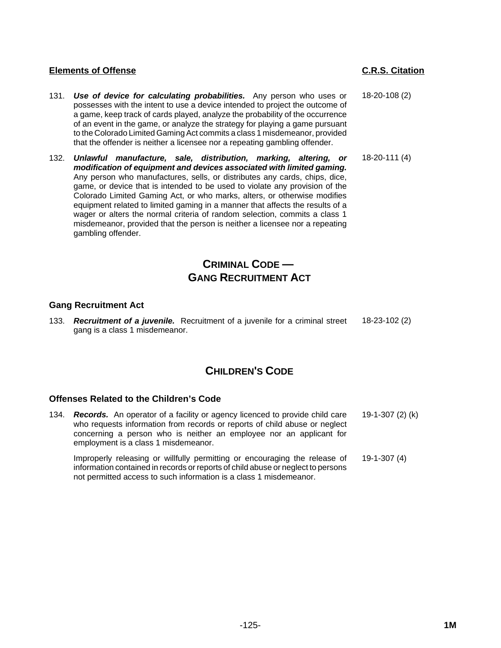- 131. *Use of device for calculating probabilities.* Any person who uses or possesses with the intent to use a device intended to project the outcome of a game, keep track of cards played, analyze the probability of the occurrence of an event in the game, or analyze the strategy for playing a game pursuant to the Colorado Limited Gaming Act commits a class 1 misdemeanor, provided that the offender is neither a licensee nor a repeating gambling offender.
- 132. *Unlawful manufacture, sale, distribution, marking, altering, or modification of equipment and devices associated with limited gaming.* Any person who manufactures, sells, or distributes any cards, chips, dice, game, or device that is intended to be used to violate any provision of the Colorado Limited Gaming Act, or who marks, alters, or otherwise modifies equipment related to limited gaming in a manner that affects the results of a wager or alters the normal criteria of random selection, commits a class 1 misdemeanor, provided that the person is neither a licensee nor a repeating gambling offender.

# **CRIMINAL CODE — GANG RECRUITMENT ACT**

## **Gang Recruitment Act**

133. *Recruitment of a juvenile.* Recruitment of a juvenile for a criminal street gang is a class 1 misdemeanor. 18-23-102 (2)

# **CHILDREN'S CODE**

## **Offenses Related to the Children's Code**

134. *Records.* An operator of a facility or agency licenced to provide child care who requests information from records or reports of child abuse or neglect concerning a person who is neither an employee nor an applicant for employment is a class 1 misdemeanor. 19-1-307 (2) (k)

Improperly releasing or willfully permitting or encouraging the release of information contained in records or reports of child abuse or neglect to persons not permitted access to such information is a class 1 misdemeanor. 19-1-307 (4)

18-20-108 (2)

18-20-111 (4)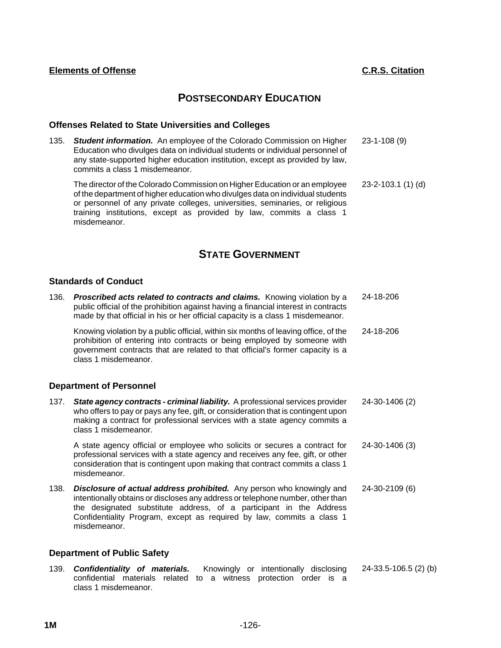## **POSTSECONDARY EDUCATION**

## **Offenses Related to State Universities and Colleges**

135. *Student information.* An employee of the Colorado Commission on Higher Education who divulges data on individual students or individual personnel of any state-supported higher education institution, except as provided by law, commits a class 1 misdemeanor. 23-1-108 (9)

The director of the Colorado Commission on Higher Education or an employee of the department of higher education who divulges data on individual students or personnel of any private colleges, universities, seminaries, or religious training institutions, except as provided by law, commits a class 1 misdemeanor. 23-2-103.1 (1) (d)

## **STATE GOVERNMENT**

## **Standards of Conduct**

136. *Proscribed acts related to contracts and claims.* Knowing violation by a public official of the prohibition against having a financial interest in contracts made by that official in his or her official capacity is a class 1 misdemeanor. 24-18-206 Knowing violation by a public official, within six months of leaving office, of the prohibition of entering into contracts or being employed by someone with government contracts that are related to that official's former capacity is a class 1 misdemeanor. 24-18-206

#### **Department of Personnel**

137. *State agency contracts - criminal liability.* A professional services provider who offers to pay or pays any fee, gift, or consideration that is contingent upon making a contract for professional services with a state agency commits a class 1 misdemeanor. 24-30-1406 (2)

A state agency official or employee who solicits or secures a contract for professional services with a state agency and receives any fee, gift, or other consideration that is contingent upon making that contract commits a class 1 misdemeanor. 24-30-1406 (3)

138. *Disclosure of actual address prohibited.* Any person who knowingly and intentionally obtains or discloses any address or telephone number, other than the designated substitute address, of a participant in the Address Confidentiality Program, except as required by law, commits a class 1 misdemeanor. 24-30-2109 (6)

#### **Department of Public Safety**

139. *Confidentiality of materials.* Knowingly or intentionally disclosing confidential materials related to a witness protection order is a class 1 misdemeanor. 24-33.5-106.5 (2) (b)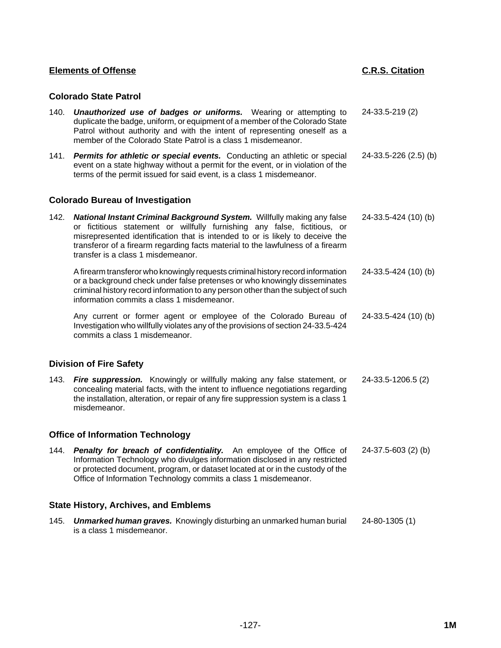## **Colorado State Patrol**

is a class 1 misdemeanor.

| 140. | <b>Unauthorized use of badges or uniforms.</b> Wearing or attempting to<br>duplicate the badge, uniform, or equipment of a member of the Colorado State<br>Patrol without authority and with the intent of representing oneself as a<br>member of the Colorado State Patrol is a class 1 misdemeanor.                                                          | 24-33.5-219 (2)       |
|------|----------------------------------------------------------------------------------------------------------------------------------------------------------------------------------------------------------------------------------------------------------------------------------------------------------------------------------------------------------------|-----------------------|
| 141. | Permits for athletic or special events. Conducting an athletic or special<br>event on a state highway without a permit for the event, or in violation of the<br>terms of the permit issued for said event, is a class 1 misdemeanor.                                                                                                                           | 24-33.5-226 (2.5) (b) |
|      | <b>Colorado Bureau of Investigation</b>                                                                                                                                                                                                                                                                                                                        |                       |
| 142. | National Instant Criminal Background System. Willfully making any false<br>or fictitious statement or willfully furnishing any false, fictitious, or<br>misrepresented identification that is intended to or is likely to deceive the<br>transferor of a firearm regarding facts material to the lawfulness of a firearm<br>transfer is a class 1 misdemeanor. | 24-33.5-424 (10) (b)  |
|      | A firearm transferor who knowingly requests criminal history record information<br>or a background check under false pretenses or who knowingly disseminates<br>criminal history record information to any person other than the subject of such<br>information commits a class 1 misdemeanor.                                                                 | 24-33.5-424 (10) (b)  |
|      | Any current or former agent or employee of the Colorado Bureau of<br>Investigation who willfully violates any of the provisions of section 24-33.5-424<br>commits a class 1 misdemeanor.                                                                                                                                                                       | 24-33.5-424 (10) (b)  |
|      | <b>Division of Fire Safety</b>                                                                                                                                                                                                                                                                                                                                 |                       |
| 143. | Fire suppression. Knowingly or willfully making any false statement, or<br>concealing material facts, with the intent to influence negotiations regarding<br>the installation, alteration, or repair of any fire suppression system is a class 1<br>misdemeanor.                                                                                               | 24-33.5-1206.5 (2)    |
|      | <b>Office of Information Technology</b>                                                                                                                                                                                                                                                                                                                        |                       |
| 144. | Penalty for breach of confidentiality. An employee of the Office of<br>Information Technology who divulges information disclosed in any restricted<br>or protected document, program, or dataset located at or in the custody of the<br>Office of Information Technology commits a class 1 misdemeanor.                                                        | 24-37.5-603 (2) (b)   |
|      | <b>State History, Archives, and Emblems</b>                                                                                                                                                                                                                                                                                                                    |                       |
| 145. | <b>Unmarked human graves.</b> Knowingly disturbing an unmarked human burial                                                                                                                                                                                                                                                                                    | 24-80-1305 (1)        |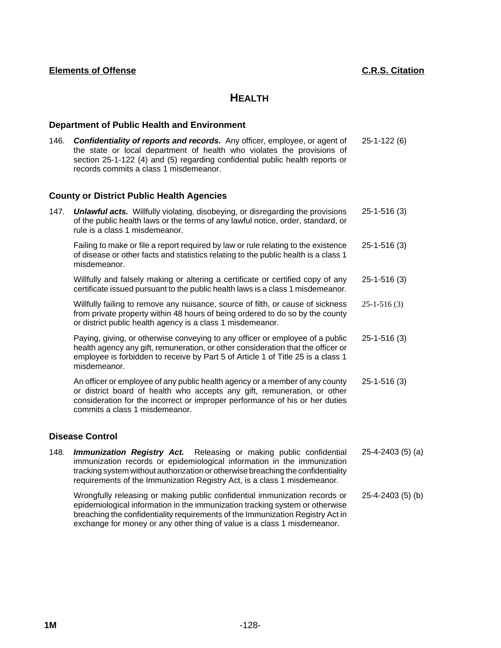## **HEALTH**

## **Department of Public Health and Environment**

146. *Confidentiality of reports and records.* Any officer, employee, or agent of the state or local department of health who violates the provisions of section 25-1-122 (4) and (5) regarding confidential public health reports or records commits a class 1 misdemeanor. 25-1-122 (6)

## **County or District Public Health Agencies**

| 147. | <b>Unlawful acts.</b> Willfully violating, disobeying, or disregarding the provisions<br>of the public health laws or the terms of any lawful notice, order, standard, or<br>rule is a class 1 misdemeanor.                                                                | $25 - 1 - 516(3)$                               |
|------|----------------------------------------------------------------------------------------------------------------------------------------------------------------------------------------------------------------------------------------------------------------------------|-------------------------------------------------|
|      | Failing to make or file a report required by law or rule relating to the existence<br>of disease or other facts and statistics relating to the public health is a class 1<br>misdemeanor.                                                                                  | $25 - 1 - 516(3)$                               |
|      | Willfully and falsely making or altering a certificate or certified copy of any<br>certificate issued pursuant to the public health laws is a class 1 misdemeanor.                                                                                                         | $25 - 1 - 516(3)$                               |
|      | Willfully failing to remove any nuisance, source of filth, or cause of sickness<br>from private property within 48 hours of being ordered to do so by the county<br>or district public health agency is a class 1 misdemeanor.                                             | $25 - 1 - 516(3)$                               |
|      | Paying, giving, or otherwise conveying to any officer or employee of a public<br>health agency any gift, remuneration, or other consideration that the officer or<br>employee is forbidden to receive by Part 5 of Article 1 of Title 25 is a class 1<br>misdemeanor.      | $25 - 1 - 516(3)$                               |
|      | An officer or employee of any public health agency or a member of any county<br>or district board of health who accepts any gift, remuneration, or other<br>consideration for the incorrect or improper performance of his or her duties<br>commits a class 1 misdemeanor. | $25 - 1 - 516(3)$                               |
|      | <b>Disease Control</b>                                                                                                                                                                                                                                                     |                                                 |
|      | 4.40 <b>Joseph President Let</b> Delegation as moling a public confidential                                                                                                                                                                                                | $\Omega E$ $\Lambda$ $\Omega$ $\Omega$ $\Omega$ |

148. *Immunization Registry Act.* Releasing or making public confidential immunization records or epidemiological information in the immunization tracking system without authorization or otherwise breaching the confidentiality requirements of the Immunization Registry Act, is a class 1 misdemeanor. 25-4-2403 (5) (a)

Wrongfully releasing or making public confidential immunization records or epidemiological information in the immunization tracking system or otherwise breaching the confidentiality requirements of the Immunization Registry Act in exchange for money or any other thing of value is a class 1 misdemeanor. 25-4-2403 (5) (b)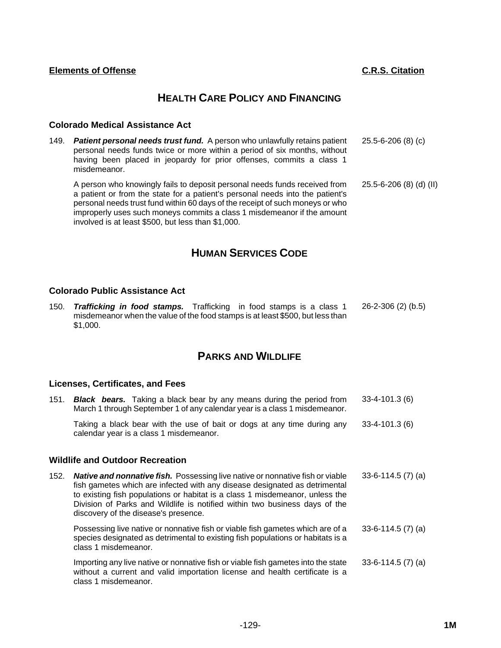## **HEALTH CARE POLICY AND FINANCING**

## **Colorado Medical Assistance Act**

149. *Patient personal needs trust fund.* A person who unlawfully retains patient personal needs funds twice or more within a period of six months, without having been placed in jeopardy for prior offenses, commits a class 1 misdemeanor. 25.5-6-206 (8) (c) A person who knowingly fails to deposit personal needs funds received from a patient or from the state for a patient's personal needs into the patient's 25.5-6-206 (8) (d) (II)

personal needs trust fund within 60 days of the receipt of such moneys or who improperly uses such moneys commits a class 1 misdemeanor if the amount involved is at least \$500, but less than \$1,000.

# **HUMAN SERVICES CODE**

## **Colorado Public Assistance Act**

150. *Trafficking in food stamps.* Trafficking in food stamps is a class 1 misdemeanor when the value of the food stamps is at least \$500, but less than \$1,000. 26-2-306 (2) (b.5)

## **PARKS AND WILDLIFE**

#### **Licenses, Certificates, and Fees**

| 151. | <b>Black bears.</b> Taking a black bear by any means during the period from<br>March 1 through September 1 of any calendar year is a class 1 misdemeanor.                                                                                                                                                                                                         | $33 - 4 - 101.3(6)$ |
|------|-------------------------------------------------------------------------------------------------------------------------------------------------------------------------------------------------------------------------------------------------------------------------------------------------------------------------------------------------------------------|---------------------|
|      | Taking a black bear with the use of bait or dogs at any time during any<br>calendar year is a class 1 misdemeanor.                                                                                                                                                                                                                                                | $33 - 4 - 101.3(6)$ |
|      | <b>Wildlife and Outdoor Recreation</b>                                                                                                                                                                                                                                                                                                                            |                     |
| 152. | Native and nonnative fish. Possessing live native or nonnative fish or viable<br>fish gametes which are infected with any disease designated as detrimental<br>to existing fish populations or habitat is a class 1 misdemeanor, unless the<br>Division of Parks and Wildlife is notified within two business days of the<br>discovery of the disease's presence. | $33-6-114.5(7)$ (a) |
|      | Possessing live native or nonnative fish or viable fish gametes which are of a<br>species designated as detrimental to existing fish populations or habitats is a<br>class 1 misdemeanor.                                                                                                                                                                         | 33-6-114.5 (7) (a)  |
|      | Importing any live native or nonnative fish or viable fish gametes into the state<br>without a current and valid importation license and health certificate is a<br>class 1 misdemeanor.                                                                                                                                                                          | 33-6-114.5 (7) (a)  |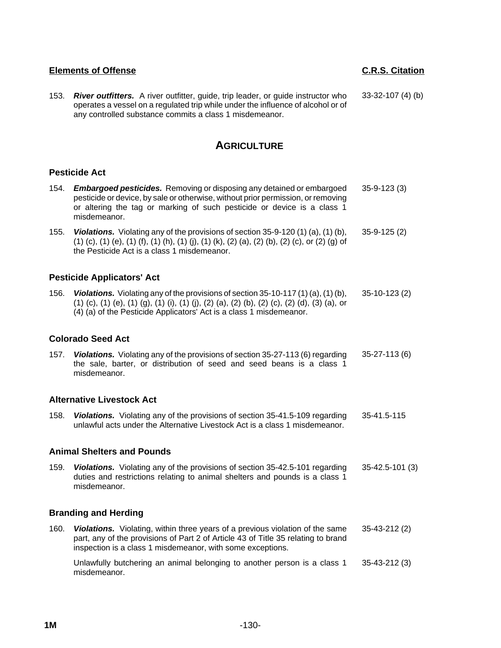153. *River outfitters.* A river outfitter, guide, trip leader, or guide instructor who operates a vessel on a regulated trip while under the influence of alcohol or of any controlled substance commits a class 1 misdemeanor. 33-32-107 (4) (b)

## **AGRICULTURE**

## **Pesticide Act**

| 154.                     | <b>Embargoed pesticides.</b> Removing or disposing any detained or embargoed<br>pesticide or device, by sale or otherwise, without prior permission, or removing<br>or altering the tag or marking of such pesticide or device is a class 1<br>misdemeanor.                          | $35 - 9 - 123(3)$  |  |  |  |
|--------------------------|--------------------------------------------------------------------------------------------------------------------------------------------------------------------------------------------------------------------------------------------------------------------------------------|--------------------|--|--|--|
| 155.                     | <b>Violations.</b> Violating any of the provisions of section $35-9-120(1)(a)$ , $(1)(b)$ ,<br>$(1)$ (c), $(1)$ (e), $(1)$ (f), $(1)$ (h), $(1)$ (j), $(1)$ (k), $(2)$ (a), $(2)$ (b), $(2)$ (c), or $(2)$ (g) of<br>the Pesticide Act is a class 1 misdemeanor.                     | $35-9-125(2)$      |  |  |  |
|                          | <b>Pesticide Applicators' Act</b>                                                                                                                                                                                                                                                    |                    |  |  |  |
| 156.                     | <b>Violations.</b> Violating any of the provisions of section 35-10-117 (1) (a), (1) (b),<br>$(1)$ (c), $(1)$ (e), $(1)$ (g), $(1)$ (i), $(1)$ (j), $(2)$ (a), $(2)$ (b), $(2)$ (c), $(2)$ (d), $(3)$ (a), or<br>(4) (a) of the Pesticide Applicators' Act is a class 1 misdemeanor. | $35-10-123(2)$     |  |  |  |
| <b>Colorado Seed Act</b> |                                                                                                                                                                                                                                                                                      |                    |  |  |  |
| 157.                     | Violations. Violating any of the provisions of section 35-27-113 (6) regarding<br>the sale, barter, or distribution of seed and seed beans is a class 1<br>misdemeanor.                                                                                                              | $35 - 27 - 113(6)$ |  |  |  |
|                          | <b>Alternative Livestock Act</b>                                                                                                                                                                                                                                                     |                    |  |  |  |
| 158.                     | Violations. Violating any of the provisions of section 35-41.5-109 regarding<br>unlawful acts under the Alternative Livestock Act is a class 1 misdemeanor.                                                                                                                          | 35-41.5-115        |  |  |  |
|                          | <b>Animal Shelters and Pounds</b>                                                                                                                                                                                                                                                    |                    |  |  |  |
| 159.                     | Violations. Violating any of the provisions of section 35-42.5-101 regarding<br>duties and restrictions relating to animal shelters and pounds is a class 1<br>misdemeanor.                                                                                                          | 35-42.5-101 (3)    |  |  |  |
|                          | <b>Branding and Herding</b>                                                                                                                                                                                                                                                          |                    |  |  |  |
| 160.                     | Violations. Violating, within three years of a previous violation of the same<br>part, any of the provisions of Part 2 of Article 43 of Title 35 relating to brand<br>inspection is a class 1 misdemeanor, with some exceptions.                                                     | 35-43-212 (2)      |  |  |  |
|                          | Unlawfully butchering an animal belonging to another person is a class 1<br>misdemeanor.                                                                                                                                                                                             | $35 - 43 - 212(3)$ |  |  |  |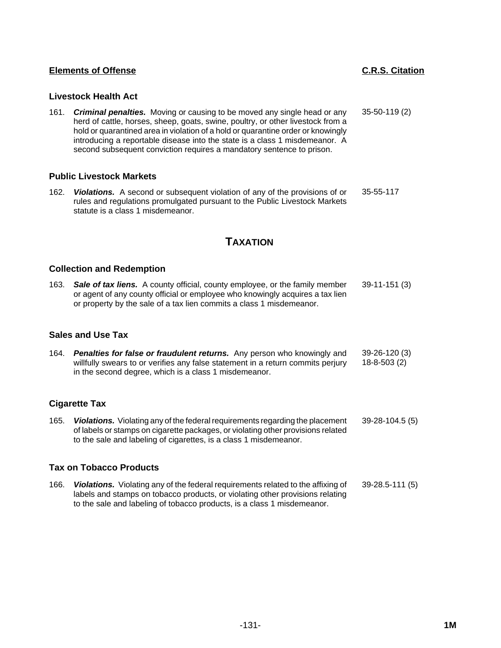## **Livestock Health Act**

161. *Criminal penalties.* Moving or causing to be moved any single head or any herd of cattle, horses, sheep, goats, swine, poultry, or other livestock from a hold or quarantined area in violation of a hold or quarantine order or knowingly introducing a reportable disease into the state is a class 1 misdemeanor. A second subsequent conviction requires a mandatory sentence to prison. 35-50-119 (2)

## **Public Livestock Markets**

162. *Violations.* A second or subsequent violation of any of the provisions of or rules and regulations promulgated pursuant to the Public Livestock Markets statute is a class 1 misdemeanor. 35-55-117

## **TAXATION**

## **Collection and Redemption**

163. *Sale of tax liens.* A county official, county employee, or the family member or agent of any county official or employee who knowingly acquires a tax lien or property by the sale of a tax lien commits a class 1 misdemeanor. 39-11-151 (3)

#### **Sales and Use Tax**

164. *Penalties for false or fraudulent returns.* Any person who knowingly and willfully swears to or verifies any false statement in a return commits perjury in the second degree, which is a class 1 misdemeanor. 39-26-120 (3) 18-8-503 (2)

## **Cigarette Tax**

165. *Violations.* Violating any of the federal requirements regarding the placement of labels or stamps on cigarette packages, or violating other provisions related to the sale and labeling of cigarettes, is a class 1 misdemeanor. 39-28-104.5 (5)

#### **Tax on Tobacco Products**

166. *Violations.* Violating any of the federal requirements related to the affixing of labels and stamps on tobacco products, or violating other provisions relating to the sale and labeling of tobacco products, is a class 1 misdemeanor. 39-28.5-111 (5)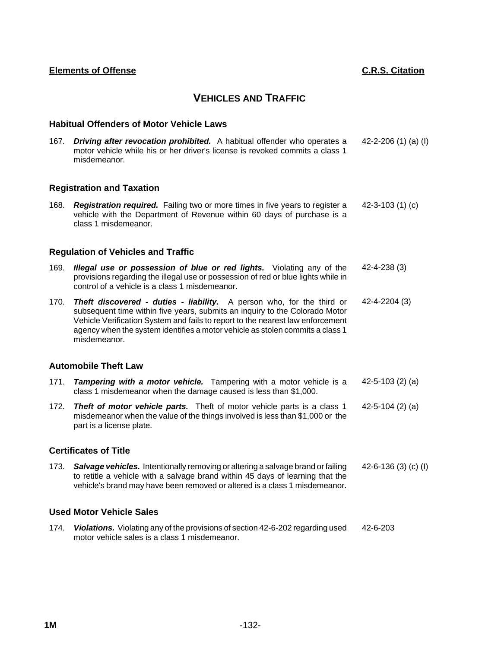## **VEHICLES AND TRAFFIC**

## **Habitual Offenders of Motor Vehicle Laws**

167. *Driving after revocation prohibited.* A habitual offender who operates a motor vehicle while his or her driver's license is revoked commits a class 1 misdemeanor. 42-2-206 (1) (a) (I)

## **Registration and Taxation**

168. *Registration required.* Failing two or more times in five years to register a vehicle with the Department of Revenue within 60 days of purchase is a class 1 misdemeanor. 42-3-103 (1) (c)

## **Regulation of Vehicles and Traffic**

- 169. *Illegal use or possession of blue or red lights.* Violating any of the provisions regarding the illegal use or possession of red or blue lights while in control of a vehicle is a class 1 misdemeanor. 42-4-238 (3)
- 170. *Theft discovered duties liability.* A person who, for the third or subsequent time within five years, submits an inquiry to the Colorado Motor Vehicle Verification System and fails to report to the nearest law enforcement agency when the system identifies a motor vehicle as stolen commits a class 1 misdemeanor. 42-4-2204 (3)

#### **Automobile Theft Law**

- 171. *Tampering with a motor vehicle.* Tampering with a motor vehicle is a class 1 misdemeanor when the damage caused is less than \$1,000. 42-5-103 (2) (a)
- 172. *Theft of motor vehicle parts.* Theft of motor vehicle parts is a class 1 misdemeanor when the value of the things involved is less than \$1,000 or the part is a license plate. 42-5-104 (2) (a)

#### **Certificates of Title**

173. *Salvage vehicles.* Intentionally removing or altering a salvage brand or failing to retitle a vehicle with a salvage brand within 45 days of learning that the vehicle's brand may have been removed or altered is a class 1 misdemeanor. 42-6-136 (3) (c) (I)

#### **Used Motor Vehicle Sales**

174. *Violations.* Violating any of the provisions of section 42-6-202 regarding used motor vehicle sales is a class 1 misdemeanor. 42-6-203